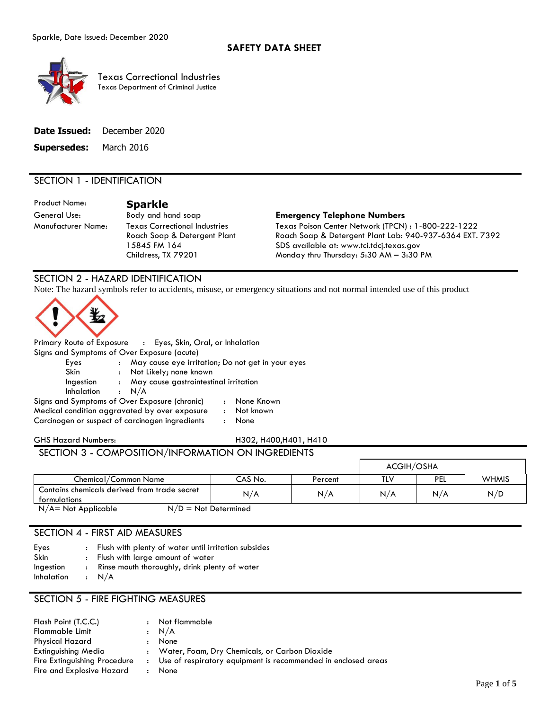

Texas Correctional Industries Texas Department of Criminal Justice

|                               | <b>Date Issued:</b> December 2020 |
|-------------------------------|-----------------------------------|
| <b>Supersedes:</b> March 2016 |                                   |

## SECTION 1 - IDENTIFICATION

Product Name: **Sparkle**

Manufacturer Name: Texas Correctional Industries Roach Soap & Detergent Plant 15845 FM 164 Childress, TX 79201

#### General Use: Body and hand soap **Emergency Telephone Numbers**

Texas Poison Center Network (TPCN) : 1-800-222-1222 Roach Soap & Detergent Plant Lab: 940-937-6364 EXT. 7392 SDS available at: www.tci.tdcj.texas.gov Monday thru Thursday: 5:30 AM – 3:30 PM

# SECTION 2 - HAZARD IDENTIFICATION

Note: The hazard symbols refer to accidents, misuse, or emergency situations and not normal intended use of this product



Primary Route of Exposure : Eyes, Skin, Oral, or Inhalation Signs and Symptoms of Over Exposure (acute) Eyes : May cause eye irritation; Do not get in your eyes Skin : Not Likely; none known Ingestion : May cause gastrointestinal irritation Inhalation : N/A Signs and Symptoms of Over Exposure (chronic) : None Known Medical condition aggravated by over exposure : Not known Carcinogen or suspect of carcinogen ingredients : None

SECTION 3 - COMPOSITION/INFORMATION ON INGREDIENTS

#### GHS Hazard Numbers: H302, H400,H401, H410

|                                                              |         |         | ACGIH/OSHA |            |              |
|--------------------------------------------------------------|---------|---------|------------|------------|--------------|
| Chemical/Common Name                                         | CAS No. | Percent | TLV        | <b>PEL</b> | <b>WHMIS</b> |
| Contains chemicals derived from trade secret<br>formulations | N/A     | N/A     | N/A        | N/A        | N/D          |

 $N/A$  = Not Applicable  $N/D$  = Not Determined

# SECTION 4 - FIRST AID MEASURES

| Eyes              | : Flush with plenty of water until irritation subsides |
|-------------------|--------------------------------------------------------|
| Skin              | : Flush with large amount of water                     |
| Ingestion         | : Rinse mouth thoroughly, drink plenty of water        |
| <b>Inhalation</b> | : N/A                                                  |

## SECTION 5 - FIRE FIGHTING MEASURES

| Flash Point (T.C.C.)         | $\cdot$ | Not flammable                                                 |
|------------------------------|---------|---------------------------------------------------------------|
| Flammable Limit              |         | : N/A                                                         |
| Physical Hazard              |         | None                                                          |
| Extinguishing Media          |         | : Water, Foam, Dry Chemicals, or Carbon Dioxide               |
| Fire Extinguishing Procedure |         | Use of respiratory equipment is recommended in enclosed areas |
| Fire and Explosive Hazard    |         | None                                                          |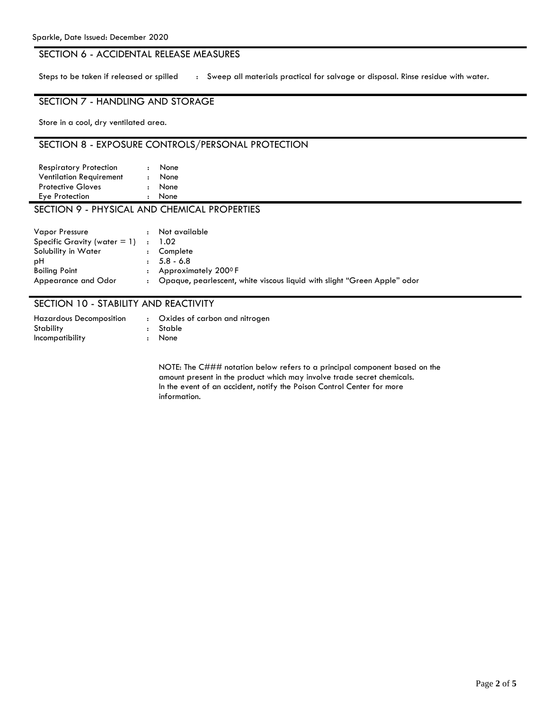# SECTION 6 - ACCIDENTAL RELEASE MEASURES

Steps to be taken if released or spilled : Sweep all materials practical for salvage or disposal. Rinse residue with water.

# SECTION 7 - HANDLING AND STORAGE

Store in a cool, dry ventilated area.

# SECTION 8 - EXPOSURE CONTROLS/PERSONAL PROTECTION

| <b>Respiratory Protection</b>              | None |  |  |
|--------------------------------------------|------|--|--|
| <b>Ventilation Requirement</b>             | None |  |  |
| <b>Protective Gloves</b>                   | None |  |  |
| Eye Protection                             | None |  |  |
| SECTION O DHVSICAL AND CHEMICAL DDODEDTIES |      |  |  |

#### SICAL AND CHEMICAL PROPERTIES

| <b>Vapor Pressure</b>           | $\ddot{\phantom{a}}$ | Not available                                                            |
|---------------------------------|----------------------|--------------------------------------------------------------------------|
| Specific Gravity (water $= 1$ ) | $\mathbf{r}$         | 1.02                                                                     |
| Solubility in Water             | $\ddot{\phantom{a}}$ | Complete                                                                 |
| рH                              |                      | $: 5.8 - 6.8$                                                            |
| Boiling Point                   | $\mathbf{r}$         | Approximately 200 <sup>0</sup> F                                         |
| Appearance and Odor             |                      | Opaque, pearlescent, white viscous liquid with slight "Green Apple" odor |

## SECTION 10 - STABILITY AND REACTIVITY

| <b>Hazardous Decomposition</b> | : Oxides of carbon and nitrogen |
|--------------------------------|---------------------------------|
| Stability                      | : Stable                        |
| Incompatibility                | : None                          |

NOTE: The C### notation below refers to a principal component based on the amount present in the product which may involve trade secret chemicals. In the event of an accident, notify the Poison Control Center for more information.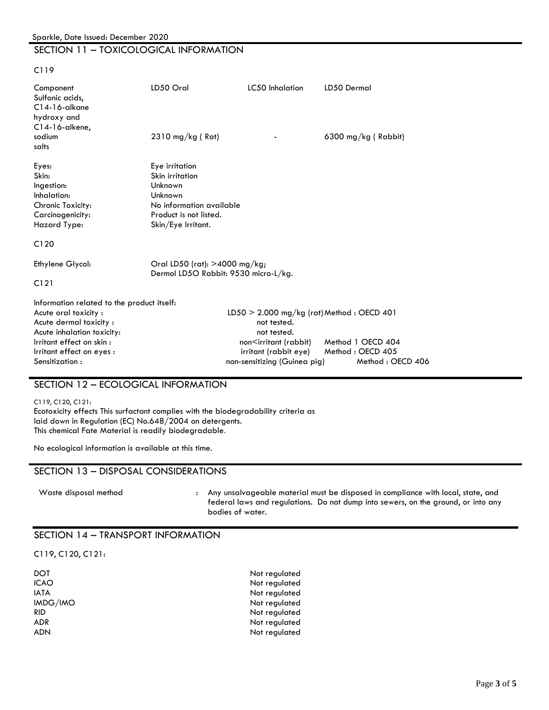# SECTION 11 – TOXICOLOGICAL INFORMATION

C119

| Component<br>Sulfonic acids,<br>$C14-16$ -alkane<br>hydroxy and<br>$C14-16$ -alkene,                                                                                                                 | LD50 Oral                                                                                                                           | LC50 Inhalation                                                                                                                                                             | LD50 Dermal                                               |
|------------------------------------------------------------------------------------------------------------------------------------------------------------------------------------------------------|-------------------------------------------------------------------------------------------------------------------------------------|-----------------------------------------------------------------------------------------------------------------------------------------------------------------------------|-----------------------------------------------------------|
| sodium<br>salts                                                                                                                                                                                      | $2310$ mg/kg (Rat)                                                                                                                  |                                                                                                                                                                             | 6300 mg/kg (Rabbit)                                       |
| Eyes:<br>Skin:<br>Ingestion:<br>Inhalation:<br>Chronic Toxicity:<br>Carcinogenicity:<br>Hazard Type:<br>C120                                                                                         | Eye irritation<br>Skin irritation<br>Unknown<br>Unknown<br>No information available<br>Product is not listed.<br>Skin/Eye Irritant. |                                                                                                                                                                             |                                                           |
| Ethylene Glycol:<br>C121                                                                                                                                                                             | Oral LD50 (rat): >4000 mg/kg;<br>Dermol LD5O Rabbit: 9530 micro-L/kg.                                                               |                                                                                                                                                                             |                                                           |
| Information related to the product itself:<br>Acute oral toxicity:<br>Acute dermal toxicity:<br>Acute inhalation toxicity:<br>Irritant effect on skin:<br>Irritant effect on eyes:<br>Sensitization: |                                                                                                                                     | $LD50 > 2.000$ mg/kg (rat) Method: OECD 401<br>not tested.<br>not tested.<br>non <irritant (rabbit)<br="">irritant (rabbit eye)<br/>non-sensitizing (Guinea pig)</irritant> | Method 1 OECD 404<br>Method: OECD 405<br>Method: OECD 406 |

# SECTION 12 – ECOLOGICAL INFORMATION

#### C119, C120, C121:

Ecotoxicity effects This surfactant complies with the biodegradability criteria as laid down in Regulation (EC) No.648/2004 on detergents. This chemical Fate Material is readily biodegradable.

No ecological information is available at this time.

#### SECTION 13 – DISPOSAL CONSIDERATIONS

| Waste disposal method | Any i                 |
|-----------------------|-----------------------|
|                       | $f \circ \mathcal{A}$ |

unsalvageable material must be disposed in compliance with local, state, and federal laws and regulations. Do not dump into sewers, on the ground, or into any bodies of water.

#### SECTION 14 – TRANSPORT INFORMATION

#### C119, C120, C121:

| DOT      |  |
|----------|--|
| ICAO     |  |
| IATA     |  |
| IMDG/IMO |  |
| RID      |  |
| ADR      |  |
| ADN      |  |

Not regulated Not regulated Not regulated Not regulated Not regulated Not regulated Not regulated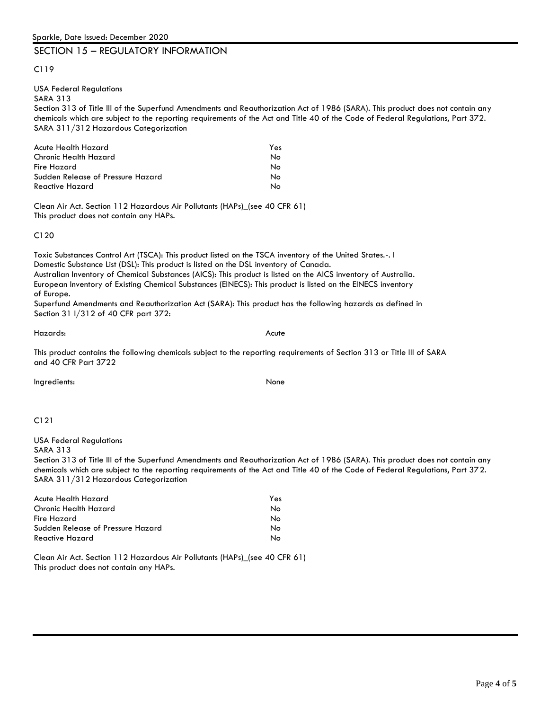#### SECTION 15 – REGULATORY INFORMATION

C119

# USA Federal Regulations

SARA 313

Section 313 of Title lll of the Superfund Amendments and Reauthorization Act of 1986 (SARA). This product does not contain any chemicals which are subject to the reporting requirements of the Act and Title 40 of the Code of Federal Regulations, Part 372. SARA 311/312 Hazardous Categorization

| Acute Health Hazard               | Yes |
|-----------------------------------|-----|
| Chronic Health Hazard             | N٥  |
| Fire Hazard                       | N٥  |
| Sudden Release of Pressure Hazard | N٥  |
| Reactive Hazard                   | N٥  |

Clean Air Act. Section 112 Hazardous Air Pollutants (HAPs)\_(see 40 CFR 61) This product does not contain any HAPs.

C120

Toxic Substances Control Art (TSCA): This product listed on the TSCA inventory of the United States.-. I Domestic Substance List (DSL): This product is listed on the DSL inventory of Canada. Australian Inventory of Chemical Substances (AICS): This product is listed on the AICS inventory of Australia. European Inventory of Existing Chemical Substances (EINECS): This product is listed on the EINECS inventory of Europe.

Superfund Amendments and Reauthorization Act (SARA): This product has the following hazards as defined in Section 31 l/312 of 40 CFR part 372:

Hazards: Acute

This product contains the following chemicals subject to the reporting requirements of Section 313 or Title III of SARA and 40 CFR Part 3722

Ingredients: None

#### C121

USA Federal Regulations

SARA 313

Section 313 of Title lll of the Superfund Amendments and Reauthorization Act of 1986 (SARA). This product does not contain any chemicals which are subject to the reporting requirements of the Act and Title 40 of the Code of Federal Regulations, Part 372. SARA 311/312 Hazardous Categorization

| Acute Health Hazard               | Yes |
|-----------------------------------|-----|
| Chronic Health Hazard             | Nο  |
| Fire Hazard                       | N٥  |
| Sudden Release of Pressure Hazard | N٥  |
| Reactive Hazard                   | N٥  |

Clean Air Act. Section 112 Hazardous Air Pollutants (HAPs)\_(see 40 CFR 61) This product does not contain any HAPs.